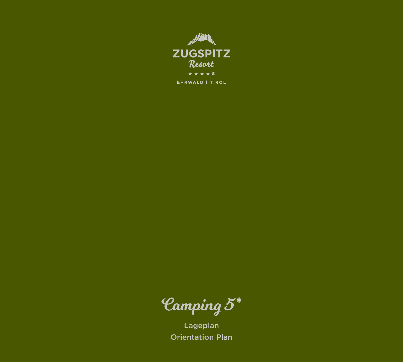

Camping 5 \*

Lageplan Orientation Plan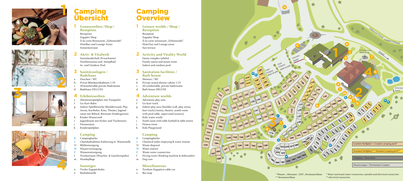# Camping **Overview**

- e Adventure play area
- f Go-kart track
- g Indoor play area (boulder wall, play arena, kart track,Cinema, theatre, youth room with pool table, supervised nursery)
- h Kids' water world
- Youth room with table football & table tennis
- Fitness room
- Kids Playground

# **Camping** Übersicht



- Duschen / WC
- Privat-Mietduschkabinen 1-19
- 20 komfortable private Baderäume
- d Badehaus DELUXE









#### **1 Leisure worlds / Shop / Reception**

- . Reception
- . Zugspitz Shop
- À-la-carte restaurant "Zirbenstube"
- . Hotel bar and Lounge areas
- . Sun terrace

### **2 Activity and Vitality World**

- Campingbutler
- C Chemikaltoiletten-Entleerung m. Wasserstelle
- Müllentsorgung
- Wasserversorgung
- Wasserentsorgung
- l Trockenraum (Waschm. & Geschirrspüler)
- m Hundepflege
- . Sauna complex (adults)
- . Family sauna and steam room
- . Indoor and outdoor pool

#### **3 Sanitation facilities / Bath house**

- a Showers / WC
- Private rental shower cabins 1-19
- 20 comfortable, private bathrooms
- d Bath house DELUXE

## **4 Adventure worlds**

### **Camping**

- B Campingbutler
- C Chemical toilet emptying & water station
- M Waste disposal
- W Water station
- E Waste water connection
- l Drying room (Washing machine & dishwasher)
- m Dog care

#### **Miscellaneous**

- n Tyrolean Zugspitze cable car
- o Bus stop
- **1 Genusswelten / Shop / Rezeption**
- . Rezeption
- . Zugspitz Shop
- À-la-carte Restaurant "Zirbenstube"
- . Hotelbar und Lounge-Areas
- . Sonnenterrasse

#### **2 Aktiv- & Vitalwelt**

- . Saunalandschaft (Erwachsene)
- Familiensauna und -dampfbad
- . In- und Outdoor-Pool

#### **3 Sanitäranlagen / Badehaus**

#### **4 Erlebniswelten**

- e Abenteuerspielplatz mit Trampolin
- Go-Kart-Bahn
- Indoor-Spielbereiche (Boulderwand, Play Arena, Kartbahn, Kino, Theater, Jugendraum mit Billard, Betreuter Kindergarten)
- Kinder-Wasserwelt
- i Jugendraum mit Kicker und Tischtennis
- Fitnessraum
- k Kinderspielplatz

### **Camping**

### **Sonstiges**

- n Tiroler Zugspitzbahn
- o Bushaltestelle